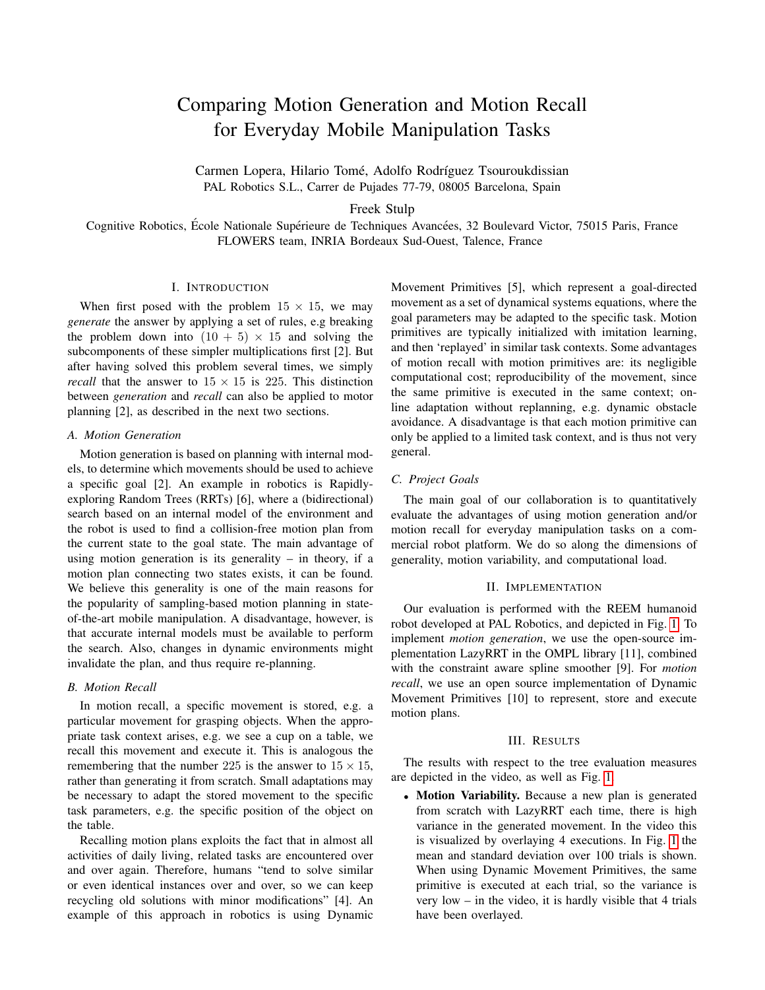# Comparing Motion Generation and Motion Recall for Everyday Mobile Manipulation Tasks

Carmen Lopera, Hilario Tomé, Adolfo Rodríguez Tsouroukdissian PAL Robotics S.L., Carrer de Pujades 77-79, 08005 Barcelona, Spain

Freek Stulp

Cognitive Robotics, École Nationale Supérieure de Techniques Avancées, 32 Boulevard Victor, 75015 Paris, France FLOWERS team, INRIA Bordeaux Sud-Ouest, Talence, France

## I. INTRODUCTION

When first posed with the problem  $15 \times 15$ , we may *generate* the answer by applying a set of rules, e.g breaking the problem down into  $(10 + 5) \times 15$  and solving the subcomponents of these simpler multiplications first [2]. But after having solved this problem several times, we simply *recall* that the answer to  $15 \times 15$  is 225. This distinction between *generation* and *recall* can also be applied to motor planning [2], as described in the next two sections.

#### *A. Motion Generation*

Motion generation is based on planning with internal models, to determine which movements should be used to achieve a specific goal [2]. An example in robotics is Rapidlyexploring Random Trees (RRTs) [6], where a (bidirectional) search based on an internal model of the environment and the robot is used to find a collision-free motion plan from the current state to the goal state. The main advantage of using motion generation is its generality  $-$  in theory, if a motion plan connecting two states exists, it can be found. We believe this generality is one of the main reasons for the popularity of sampling-based motion planning in stateof-the-art mobile manipulation. A disadvantage, however, is that accurate internal models must be available to perform the search. Also, changes in dynamic environments might invalidate the plan, and thus require re-planning.

### *B. Motion Recall*

In motion recall, a specific movement is stored, e.g. a particular movement for grasping objects. When the appropriate task context arises, e.g. we see a cup on a table, we recall this movement and execute it. This is analogous the remembering that the number 225 is the answer to  $15 \times 15$ , rather than generating it from scratch. Small adaptations may be necessary to adapt the stored movement to the specific task parameters, e.g. the specific position of the object on the table.

Recalling motion plans exploits the fact that in almost all activities of daily living, related tasks are encountered over and over again. Therefore, humans "tend to solve similar or even identical instances over and over, so we can keep recycling old solutions with minor modifications" [4]. An example of this approach in robotics is using Dynamic Movement Primitives [5], which represent a goal-directed movement as a set of dynamical systems equations, where the goal parameters may be adapted to the specific task. Motion primitives are typically initialized with imitation learning, and then 'replayed' in similar task contexts. Some advantages of motion recall with motion primitives are: its negligible computational cost; reproducibility of the movement, since the same primitive is executed in the same context; online adaptation without replanning, e.g. dynamic obstacle avoidance. A disadvantage is that each motion primitive can only be applied to a limited task context, and is thus not very general.

## *C. Project Goals*

The main goal of our collaboration is to quantitatively evaluate the advantages of using motion generation and/or motion recall for everyday manipulation tasks on a commercial robot platform. We do so along the dimensions of generality, motion variability, and computational load.

#### II. IMPLEMENTATION

Our evaluation is performed with the REEM humanoid robot developed at PAL Robotics, and depicted in Fig. [1.](#page-1-0) To implement *motion generation*, we use the open-source implementation LazyRRT in the OMPL library [11], combined with the constraint aware spline smoother [9]. For *motion recall*, we use an open source implementation of Dynamic Movement Primitives [10] to represent, store and execute motion plans.

## III. RESULTS

The results with respect to the tree evaluation measures are depicted in the video, as well as Fig. [1.](#page-1-0)

• Motion Variability. Because a new plan is generated from scratch with LazyRRT each time, there is high variance in the generated movement. In the video this is visualized by overlaying 4 executions. In Fig. [1](#page-1-0) the mean and standard deviation over 100 trials is shown. When using Dynamic Movement Primitives, the same primitive is executed at each trial, so the variance is very  $low - in$  the video, it is hardly visible that 4 trials have been overlayed.